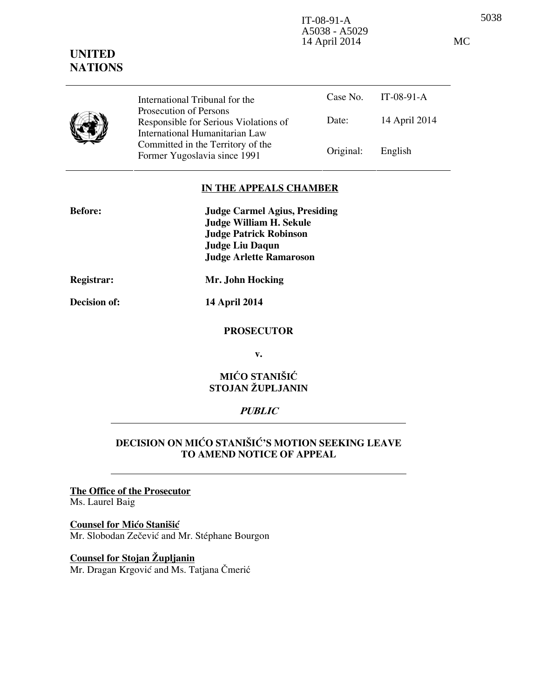5038 IT-08-91-A A5038 - A5029 14 April 2014 MC

#### Case No. IT-08-91-A Date: 14 April 2014 International Tribunal for the Prosecution of Persons Responsible for Serious Violations of International Humanitarian Law Committed in the Territory of the Former Yugoslavia since 1991 Original: English

### **IN THE APPEALS CHAMBER**

| <b>Before:</b> | <b>Judge Carmel Agius, Presiding</b> |
|----------------|--------------------------------------|
|                | <b>Judge William H. Sekule</b>       |
|                | <b>Judge Patrick Robinson</b>        |
|                | <b>Judge Liu Daqun</b>               |
|                | <b>Judge Arlette Ramaroson</b>       |
| Registrar:     | Mr. John Hocking                     |

**UNITED NATIONS**

**Decision of: 14 April 2014** 

### **PROSECUTOR**

**v.** 

# **MIĆO STANIŠIĆ STOJAN ŽUPLJANIN**

### **PUBLIC**

# **DECISION ON MIĆO STANIŠIĆ'S MOTION SEEKING LEAVE TO AMEND NOTICE OF APPEAL**

### **The Office of the Prosecutor** Ms. Laurel Baig

# **Counsel for Mićo Stanišić**

Mr. Slobodan Zečević and Mr. Stéphane Bourgon

# **Counsel for Stojan Župljanin**

Mr. Dragan Krgović and Ms. Tatjana Čmerić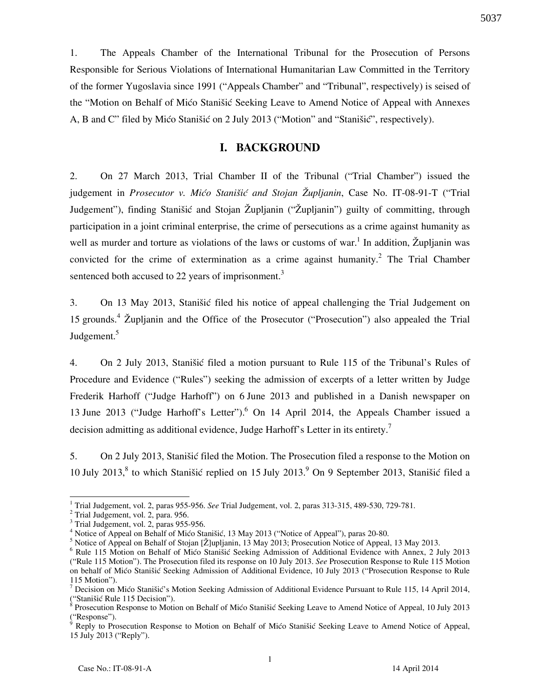1. The Appeals Chamber of the International Tribunal for the Prosecution of Persons Responsible for Serious Violations of International Humanitarian Law Committed in the Territory of the former Yugoslavia since 1991 ("Appeals Chamber" and "Tribunal", respectively) is seised of the "Motion on Behalf of Mićo Stanišić Seeking Leave to Amend Notice of Appeal with Annexes A, B and C" filed by Mićo Stanišić on 2 July 2013 ("Motion" and "Stanišić", respectively).

## **I. BACKGROUND**

2. On 27 March 2013, Trial Chamber II of the Tribunal ("Trial Chamber") issued the judgement in *Prosecutor v. Mićo Stanišić and Stojan Župljanin*, Case No. IT-08-91-T ("Trial Judgement"), finding Stanišić and Stojan Župljanin ("Župljanin") guilty of committing, through participation in a joint criminal enterprise, the crime of persecutions as a crime against humanity as well as murder and torture as violations of the laws or customs of war.<sup>1</sup> In addition, Župljanin was convicted for the crime of extermination as a crime against humanity.<sup>2</sup> The Trial Chamber sentenced both accused to 22 years of imprisonment. $3$ 

3. On 13 May 2013, Stanišić filed his notice of appeal challenging the Trial Judgement on 15 grounds.<sup>4</sup> Župljanin and the Office of the Prosecutor ("Prosecution") also appealed the Trial Judgement.<sup>5</sup>

4. On 2 July 2013, Stanišić filed a motion pursuant to Rule 115 of the Tribunal's Rules of Procedure and Evidence ("Rules") seeking the admission of excerpts of a letter written by Judge Frederik Harhoff ("Judge Harhoff") on 6 June 2013 and published in a Danish newspaper on 13 June 2013 ("Judge Harhoff's Letter").<sup>6</sup> On 14 April 2014, the Appeals Chamber issued a decision admitting as additional evidence, Judge Harhoff's Letter in its entirety.<sup>7</sup>

5. On 2 July 2013, Stanišić filed the Motion. The Prosecution filed a response to the Motion on 10 July 2013,<sup>8</sup> to which Stanišić replied on 15 July 2013.<sup>9</sup> On 9 September 2013, Stanišić filed a

 $\overline{a}$ 

5037

<sup>1</sup> Trial Judgement, vol. 2, paras 955-956. *See* Trial Judgement, vol. 2, paras 313-315, 489-530, 729-781.

<sup>2</sup> Trial Judgement, vol. 2, para. 956.

<sup>&</sup>lt;sup>3</sup> Trial Judgement, vol. 2, paras 955-956.

<sup>&</sup>lt;sup>4</sup> Notice of Appeal on Behalf of Mićo Stanišić, 13 May 2013 ("Notice of Appeal"), paras 20-80.

 $<sup>5</sup>$  Notice of Appeal on Behalf of Stojan [Ž]upljanin, 13 May 2013; Prosecution Notice of Appeal, 13 May 2013.</sup>

<sup>&</sup>lt;sup>6</sup> Rule 115 Motion on Behalf of Mićo Stanišić Seeking Admission of Additional Evidence with Annex, 2 July 2013 ("Rule 115 Motion"). The Prosecution filed its response on 10 July 2013. *See* Prosecution Response to Rule 115 Motion on behalf of Mićo Stanišić Seeking Admission of Additional Evidence, 10 July 2013 ("Prosecution Response to Rule 115 Motion").

<sup>&</sup>lt;sup>7</sup> Decision on Mićo Stanišić's Motion Seeking Admission of Additional Evidence Pursuant to Rule 115, 14 April 2014, ("Stanišić Rule 115 Decision").<br><sup>8</sup> Prosecution Response to Motion on Behalf of Mićo Stanišić Seeking Leave to Amend Notice of Appeal, 10 July 2013

<sup>(&</sup>quot;Response").<br><sup>9</sup> Reply to Prosecution Response to Motion on Behalf of Mićo Stanišić Seeking Leave to Amend Notice of Appeal,

<sup>15</sup> July 2013 ("Reply").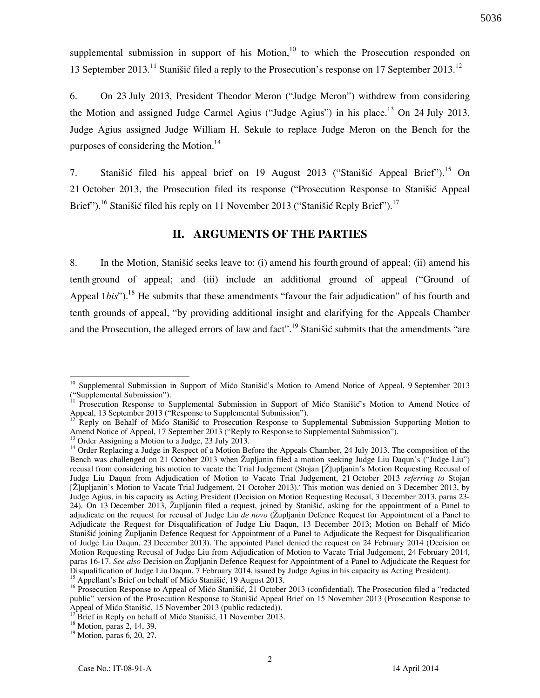supplemental submission in support of his Motion, $10$  to which the Prosecution responded on 13 September 2013.<sup>11</sup> Stanišić filed a reply to the Prosecution's response on 17 September 2013.<sup>12</sup>

6. On 23 July 2013, President Theodor Meron ("Judge Meron") withdrew from considering the Motion and assigned Judge Carmel Agius ("Judge Agius") in his place.<sup>13</sup> On 24 July 2013, Judge Agius assigned Judge William H. Sekule to replace Judge Meron on the Bench for the purposes of considering the Motion.<sup>14</sup>

7. Stanišić filed his appeal brief on 19 August 2013 ("Stanišić Appeal Brief").<sup>15</sup> On 21 October 2013, the Prosecution filed its response ("Prosecution Response to Stanišić Appeal Brief").<sup>16</sup> Stanišić filed his reply on 11 November 2013 ("Stanišić Reply Brief").<sup>17</sup>

## **II. ARGUMENTS OF THE PARTIES**

8. In the Motion, Stanišić seeks leave to: (i) amend his fourth ground of appeal; (ii) amend his tenth ground of appeal; and (iii) include an additional ground of appeal ("Ground of Appeal 1bis").<sup>18</sup> He submits that these amendments "favour the fair adjudication" of his fourth and tenth grounds of appeal, "by providing additional insight and clarifying for the Appeals Chamber and the Prosecution, the alleged errors of law and fact".<sup>19</sup> Stanistic submits that the amendments "are

 $\overline{a}$ <sup>10</sup> Supplemental Submission in Support of Mićo Stanišić's Motion to Amend Notice of Appeal, 9 September 2013 ("Supplemental Submission").

<sup>11</sup> Prosecution Response to Supplemental Submission in Support of Mico Stanišic's Motion to Amend Notice of Appeal, 13 September 2013 ("Response to Supplemental Submission").

<sup>&</sup>lt;sup>12</sup> Reply on Behalf of Mico Stanišic to Prosecution Response to Supplemental Submission Supporting Motion to Amend Notice of Appeal, 17 September 2013 ("Reply to Response to Supplemental Submission").

 $13$  Order Assigning a Motion to a Judge, 23 July 2013.

<sup>&</sup>lt;sup>14</sup> Order Replacing a Judge in Respect of a Motion Before the Appeals Chamber, 24 July 2013. The composition of the Bench was challenged on 21 October 2013 when Župljanin filed a motion seeking Judge Liu Daqun's ("Judge Liu") recusal from considering his motion to vacate the Trial Judgement (Stojan [Ž]upljanin's Motion Requesting Recusal of Judge Liu Daqun from Adjudication of Motion to Vacate Trial Judgement, 21 October 2013 *referring to* Stojan [Ž]upljanin's Motion to Vacate Trial Judgement, 21 October 2013). This motion was denied on 3 December 2013, by Judge Agius, in his capacity as Acting President (Decision on Motion Requesting Recusal, 3 December 2013, paras 23- 24). On 13 December 2013, Župljanin filed a request, joined by Stani{i}, asking for the appointment of a Panel to adjudicate on the request for recusal of Judge Liu *de novo* (Župljanin Defence Request for Appointment of a Panel to Adjudicate the Request for Disqualification of Judge Liu Daqun, 13 December 2013; Motion on Behalf of Mico Stanišić joining Župljanin Defence Request for Appointment of a Panel to Adjudicate the Request for Disqualification of Judge Liu Daqun, 23 December 2013). The appointed Panel denied the request on 24 February 2014 (Decision on Motion Requesting Recusal of Judge Liu from Adjudication of Motion to Vacate Trial Judgement, 24 February 2014, paras 16-17. *See also* Decision on Župljanin Defence Request for Appointment of a Panel to Adjudicate the Request for Disqualification of Judge Liu Daqun, 7 February 2014, issued by Judge Agius in his capacity as Acting President). <sup>15</sup> Appellant's Brief on behalf of Mico Stanišic, 19 August 2013.

<sup>&</sup>lt;sup>16</sup> Prosecution Response to Appeal of Mićo Stanišić,  $\frac{1}{21}$  October 2013 (confidential). The Prosecution filed a "redacted public" version of the Prosecution Response to Stanišić Appeal Brief on 15 November 2013 (Prosecution Response to Appeal of Mico Stanišic, 15 November 2013 (public redacted)).

Brief in Reply on behalf of Mićo Stanišić, 11 November 2013.

<sup>18</sup> Motion, paras 2, 14, 39.

<sup>19</sup> Motion, paras 6, 20, 27.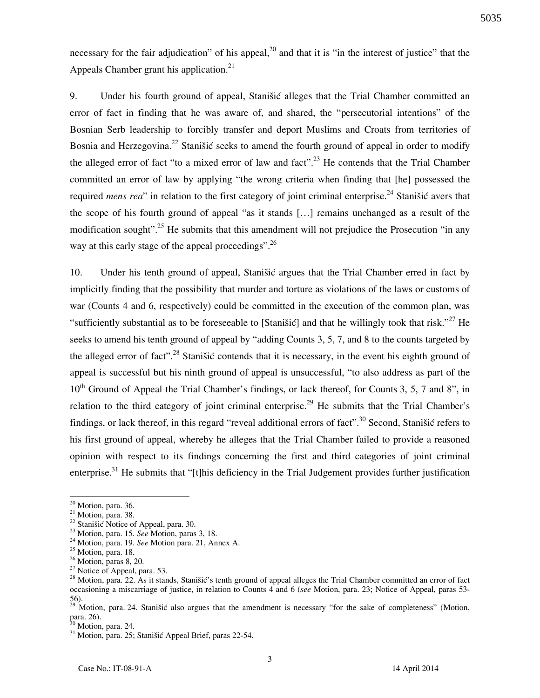necessary for the fair adjudication" of his appeal,  $^{20}$  and that it is "in the interest of justice" that the Appeals Chamber grant his application.<sup>21</sup>

9. Under his fourth ground of appeal, Stanistic alleges that the Trial Chamber committed an error of fact in finding that he was aware of, and shared, the "persecutorial intentions" of the Bosnian Serb leadership to forcibly transfer and deport Muslims and Croats from territories of Bosnia and Herzegovina.<sup>22</sup> Stanišić seeks to amend the fourth ground of appeal in order to modify the alleged error of fact "to a mixed error of law and fact".<sup>23</sup> He contends that the Trial Chamber committed an error of law by applying "the wrong criteria when finding that [he] possessed the required *mens rea*" in relation to the first category of joint criminal enterprise.<sup>24</sup> Stanišić avers that the scope of his fourth ground of appeal "as it stands [...] remains unchanged as a result of the modification sought".<sup>25</sup> He submits that this amendment will not prejudice the Prosecution "in any way at this early stage of the appeal proceedings".<sup>26</sup>

10. Under his tenth ground of appeal, Stanišić argues that the Trial Chamber erred in fact by implicitly finding that the possibility that murder and torture as violations of the laws or customs of war (Counts 4 and 6, respectively) could be committed in the execution of the common plan, was "sufficiently substantial as to be foreseeable to [Stanišić] and that he willingly took that risk."<sup>27</sup> He seeks to amend his tenth ground of appeal by "adding Counts 3, 5, 7, and 8 to the counts targeted by the alleged error of fact".<sup>28</sup> Stanišić contends that it is necessary, in the event his eighth ground of appeal is successful but his ninth ground of appeal is unsuccessful, "to also address as part of the 10<sup>th</sup> Ground of Appeal the Trial Chamber's findings, or lack thereof, for Counts 3, 5, 7 and 8", in relation to the third category of joint criminal enterprise.<sup>29</sup> He submits that the Trial Chamber's findings, or lack thereof, in this regard "reveal additional errors of fact".<sup>30</sup> Second, Stanišić refers to his first ground of appeal, whereby he alleges that the Trial Chamber failed to provide a reasoned opinion with respect to its findings concerning the first and third categories of joint criminal enterprise.<sup>31</sup> He submits that "[t]his deficiency in the Trial Judgement provides further justification

 $\overline{a}$ 

 $20$  Motion, para. 36.

 $21$  Motion, para. 38.

 $^{22}$  Stanišić Notice of Appeal, para. 30.

<sup>23</sup> Motion, para. 15. *See* Motion, paras 3, 18.

<sup>24</sup> Motion, para. 19. *See* Motion para. 21, Annex A.

 $25$  Motion, para. 18.

 $26$  Motion, paras 8, 20.

<sup>&</sup>lt;sup>27</sup> Notice of Appeal, para. 53.

<sup>&</sup>lt;sup>28</sup> Motion, para. 22. As it stands, Stanišić's tenth ground of appeal alleges the Trial Chamber committed an error of fact occasioning a miscarriage of justice, in relation to Counts 4 and 6 (*see* Motion, para. 23; Notice of Appeal, paras 53- 56).

<sup>&</sup>lt;sup>29</sup> Motion, para. 24. Stanišić also argues that the amendment is necessary "for the sake of completeness" (Motion, para. 26).

Motion, para. 24.

<sup>&</sup>lt;sup>31</sup> Motion, para. 25; Stanišić Appeal Brief, paras 22-54.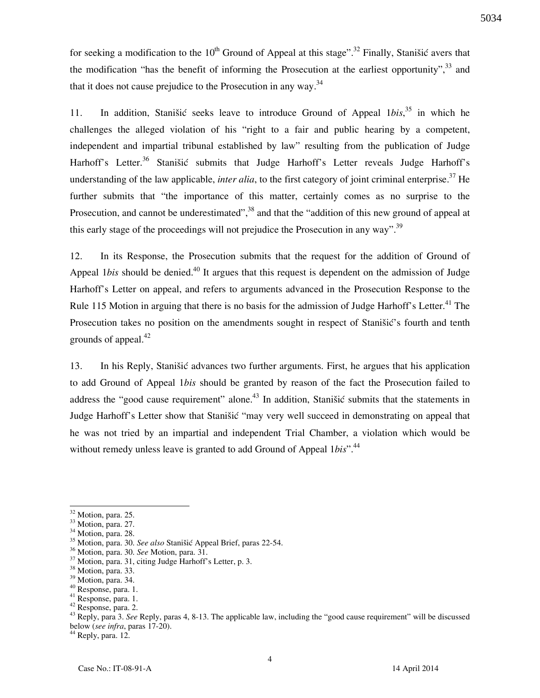for seeking a modification to the  $10^{th}$  Ground of Appeal at this stage".<sup>32</sup> Finally, Stanišić avers that the modification "has the benefit of informing the Prosecution at the earliest opportunity",  $33$  and that it does not cause prejudice to the Prosecution in any way. $34$ 

11. In addition, Stanišić seeks leave to introduce Ground of Appeal 1*bis*, <sup>35</sup> in which he challenges the alleged violation of his "right to a fair and public hearing by a competent, independent and impartial tribunal established by law" resulting from the publication of Judge Harhoff's Letter.<sup>36</sup> Stanišić submits that Judge Harhoff's Letter reveals Judge Harhoff's understanding of the law applicable, *inter alia*, to the first category of joint criminal enterprise.<sup>37</sup> He further submits that "the importance of this matter, certainly comes as no surprise to the Prosecution, and cannot be underestimated",<sup>38</sup> and that the "addition of this new ground of appeal at this early stage of the proceedings will not prejudice the Prosecution in any way".<sup>39</sup>

12. In its Response, the Prosecution submits that the request for the addition of Ground of Appeal 1*bis* should be denied.<sup>40</sup> It argues that this request is dependent on the admission of Judge Harhoff's Letter on appeal, and refers to arguments advanced in the Prosecution Response to the Rule 115 Motion in arguing that there is no basis for the admission of Judge Harhoff's Letter.<sup>41</sup> The Prosecution takes no position on the amendments sought in respect of Stanišić's fourth and tenth grounds of appeal. $42$ 

13. In his Reply, Stanišić advances two further arguments. First, he argues that his application to add Ground of Appeal 1*bis* should be granted by reason of the fact the Prosecution failed to address the "good cause requirement" alone.<sup>43</sup> In addition, Stanišić submits that the statements in Judge Harhoff's Letter show that Stanišić "may very well succeed in demonstrating on appeal that he was not tried by an impartial and independent Trial Chamber, a violation which would be without remedy unless leave is granted to add Ground of Appeal 1*bis*<sup>".44</sup>

 $\overline{a}$ 

 $44$  Reply, para. 12.

 $32$  Motion, para. 25.

 $33$  Motion, para. 27.

<sup>&</sup>lt;sup>34</sup> Motion, para. 28.

<sup>&</sup>lt;sup>35</sup> Motion, para. 30. See also Stanišić Appeal Brief, paras 22-54.

<sup>36</sup> Motion, para. 30. *See* Motion, para. 31.

<sup>&</sup>lt;sup>37</sup> Motion, para. 31, citing Judge Harhoff's Letter, p. 3.

<sup>&</sup>lt;sup>38</sup> Motion, para. 33.

<sup>&</sup>lt;sup>39</sup> Motion, para. 34.

<sup>40</sup> Response, para. 1.

<sup>41</sup> Response, para. 1. <sup>42</sup> Response, para. 2.

<sup>43</sup> Reply, para 3. *See* Reply, paras 4, 8-13. The applicable law, including the "good cause requirement" will be discussed below (*see infra*, paras 17-20).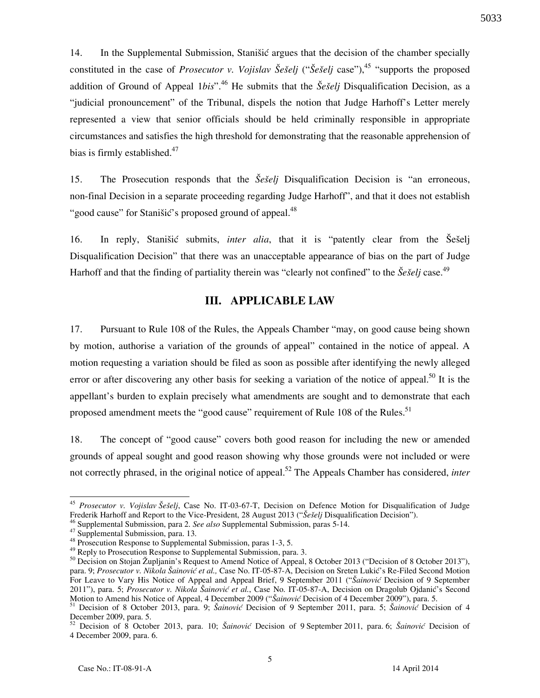14. In the Supplemental Submission, Stanišić argues that the decision of the chamber specially constituted in the case of *Prosecutor v. Vojislav Šešelj* ("*Šešelj* case"),<sup>45</sup> "supports the proposed

5033

addition of Ground of Appeal 1*bis*<sup>", 46</sup> He submits that the *Šešelj* Disqualification Decision, as a "judicial pronouncement" of the Tribunal, dispels the notion that Judge Harhoff's Letter merely represented a view that senior officials should be held criminally responsible in appropriate circumstances and satisfies the high threshold for demonstrating that the reasonable apprehension of bias is firmly established. $47$ 

15. The Prosecution responds that the *Šešelj* Disqualification Decision is "an erroneous, non-final Decision in a separate proceeding regarding Judge Harhoff", and that it does not establish "good cause" for Stanišić's proposed ground of appeal.<sup>48</sup>

16. In reply, Stanišić submits, *inter alia*, that it is "patently clear from the Seselj Disqualification Decision" that there was an unacceptable appearance of bias on the part of Judge Harhoff and that the finding of partiality therein was "clearly not confined" to the  $\check{S}e\check{e}eli$  case.<sup>49</sup>

## **III. APPLICABLE LAW**

17. Pursuant to Rule 108 of the Rules, the Appeals Chamber "may, on good cause being shown by motion, authorise a variation of the grounds of appeal" contained in the notice of appeal. A motion requesting a variation should be filed as soon as possible after identifying the newly alleged error or after discovering any other basis for seeking a variation of the notice of appeal.<sup>50</sup> It is the appellant's burden to explain precisely what amendments are sought and to demonstrate that each proposed amendment meets the "good cause" requirement of Rule 108 of the Rules.<sup>51</sup>

18. The concept of "good cause" covers both good reason for including the new or amended grounds of appeal sought and good reason showing why those grounds were not included or were not correctly phrased, in the original notice of appeal.<sup>52</sup> The Appeals Chamber has considered, *inter* 

 $\overline{a}$ 

<sup>45</sup> *Prosecutor v. Vojislav Šešelj*, Case No. IT-03-67-T, Decision on Defence Motion for Disqualification of Judge Frederik Harhoff and Report to the Vice-President, 28 August 2013 ("Šešelj Disqualification Decision").

<sup>46</sup> Supplemental Submission, para 2. *See also* Supplemental Submission, paras 5-14.

<sup>47</sup> Supplemental Submission, para. 13.

<sup>&</sup>lt;sup>48</sup> Prosecution Response to Supplemental Submission, paras 1-3, 5.

<sup>&</sup>lt;sup>49</sup> Reply to Prosecution Response to Supplemental Submission, para. 3.

<sup>&</sup>lt;sup>50</sup> Decision on Stojan Župljanin's Request to Amend Notice of Appeal, 8 October 2013 ("Decision of 8 October 2013"), para. 9; *Prosecutor v. Nikola Šainović et al.,* Case No. IT-05-87-A, Decision on Sreten Lukić's Re-Filed Second Motion For Leave to Vary His Notice of Appeal and Appeal Brief, 9 September 2011 ("*Šainović* Decision of 9 September 2011"), para. 5; Prosecutor v. Nikola Šainović et al., Case No. IT-05-87-A, Decision on Dragolub Ojdanić's Second Motion to Amend his Notice of Appeal, 4 December 2009 ("Šainović Decision of 4 December 2009"), para. 5.

<sup>&</sup>lt;sup>51</sup> Decision of 8 October 2013, para. 9; Šainović Decision of 9 September 2011, para. 5; Šainović Decision of 4 December 2009, para. 5.

<sup>52</sup> Decision of 8 October 2013, para. 10; *Šainović* Decision of 9 September 2011, para. 6; *Šainović* Decision of 4 December 2009, para. 6.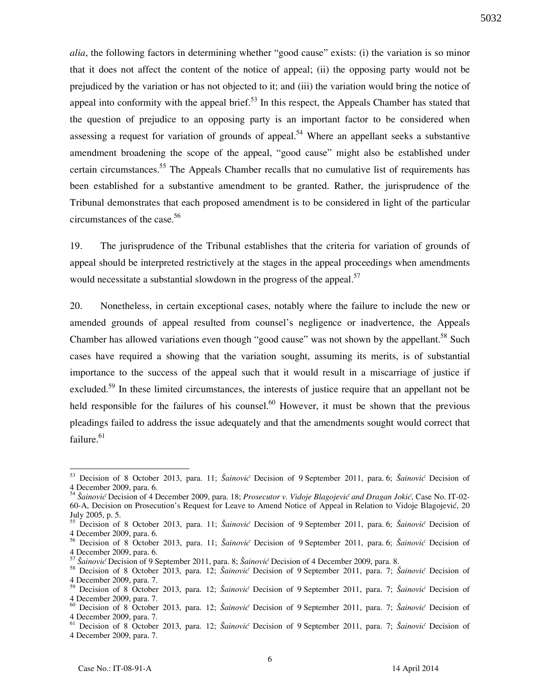*alia*, the following factors in determining whether "good cause" exists: (i) the variation is so minor that it does not affect the content of the notice of appeal; (ii) the opposing party would not be prejudiced by the variation or has not objected to it; and (iii) the variation would bring the notice of appeal into conformity with the appeal brief. $5<sup>3</sup>$  In this respect, the Appeals Chamber has stated that the question of prejudice to an opposing party is an important factor to be considered when assessing a request for variation of grounds of appeal.<sup>54</sup> Where an appellant seeks a substantive amendment broadening the scope of the appeal, "good cause" might also be established under certain circumstances.<sup>55</sup> The Appeals Chamber recalls that no cumulative list of requirements has been established for a substantive amendment to be granted. Rather, the jurisprudence of the Tribunal demonstrates that each proposed amendment is to be considered in light of the particular circumstances of the case.<sup>56</sup>

19. The jurisprudence of the Tribunal establishes that the criteria for variation of grounds of appeal should be interpreted restrictively at the stages in the appeal proceedings when amendments would necessitate a substantial slowdown in the progress of the appeal. $57$ 

20. Nonetheless, in certain exceptional cases, notably where the failure to include the new or amended grounds of appeal resulted from counsel's negligence or inadvertence, the Appeals Chamber has allowed variations even though "good cause" was not shown by the appellant.<sup>58</sup> Such cases have required a showing that the variation sought, assuming its merits, is of substantial importance to the success of the appeal such that it would result in a miscarriage of justice if excluded.<sup>59</sup> In these limited circumstances, the interests of justice require that an appellant not be held responsible for the failures of his counsel.<sup>60</sup> However, it must be shown that the previous pleadings failed to address the issue adequately and that the amendments sought would correct that failure.<sup>61</sup>

 $\overline{a}$ 

5032

<sup>53</sup> Decision of 8 October 2013, para. 11; *Šainović* Decision of 9 September 2011, para. 6; *Šainović* Decision of 4 December 2009, para. 6.

<sup>54</sup> *Šainović* Decision of 4 December 2009, para. 18; *Prosecutor v. Vidoje Blagojević and Dragan Jokić*, Case No. IT-02- 60-A, Decision on Prosecution's Request for Leave to Amend Notice of Appeal in Relation to Vidoje Blagojević, 20 July 2005, p. 5.

<sup>55</sup> Decision of 8 October 2013, para. 11; *Šainović* Decision of 9 September 2011, para. 6; *Šainović* Decision of 4 December 2009, para. 6.

<sup>56</sup> Decision of 8 October 2013, para. 11; *Šainović* Decision of 9 September 2011, para. 6; *Šainović* Decision of 4 December 2009, para. 6.

<sup>57</sup> *Šainović* Decision of 9 September 2011, para. 8; *Šainović* Decision of 4 December 2009, para. 8.

<sup>58</sup> Decision of 8 October 2013, para. 12; *Šainović* Decision of 9 September 2011, para. 7; *Šainović* Decision of 4 December 2009, para. 7.

<sup>59</sup> Decision of 8 October 2013, para. 12; *Šainović* Decision of 9 September 2011, para. 7; *Šainović* Decision of 4 December 2009, para. 7.

<sup>60</sup> Decision of 8 October 2013, para. 12; *Šainović* Decision of 9 September 2011, para. 7; *Šainović* Decision of 4 December 2009, para. 7.

<sup>61</sup> Decision of 8 October 2013, para. 12; *Šainović* Decision of 9 September 2011, para. 7; *Šainović* Decision of 4 December 2009, para. 7.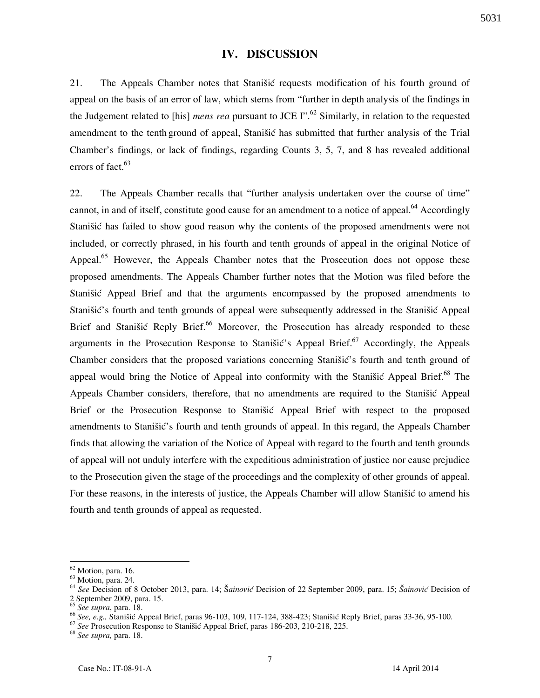### **IV. DISCUSSION**

21. The Appeals Chamber notes that Stanišić requests modification of his fourth ground of appeal on the basis of an error of law, which stems from "further in depth analysis of the findings in the Judgement related to [his] *mens rea* pursuant to JCE I".<sup>62</sup> Similarly, in relation to the requested amendment to the tenth ground of appeal, Stanišić has submitted that further analysis of the Trial Chamber's findings, or lack of findings, regarding Counts 3, 5, 7, and 8 has revealed additional errors of fact.<sup>63</sup>

22. The Appeals Chamber recalls that "further analysis undertaken over the course of time" cannot, in and of itself, constitute good cause for an amendment to a notice of appeal.<sup>64</sup> Accordingly Stanišić has failed to show good reason why the contents of the proposed amendments were not included, or correctly phrased, in his fourth and tenth grounds of appeal in the original Notice of Appeal.<sup>65</sup> However, the Appeals Chamber notes that the Prosecution does not oppose these proposed amendments. The Appeals Chamber further notes that the Motion was filed before the Stanišić Appeal Brief and that the arguments encompassed by the proposed amendments to Stanišić's fourth and tenth grounds of appeal were subsequently addressed in the Stanišić Appeal Brief and Stanišić Reply Brief.<sup>66</sup> Moreover, the Prosecution has already responded to these arguments in the Prosecution Response to Stanistic's Appeal Brief.<sup>67</sup> Accordingly, the Appeals Chamber considers that the proposed variations concerning Stanišic's fourth and tenth ground of appeal would bring the Notice of Appeal into conformity with the Stanišić Appeal Brief.<sup>68</sup> The Appeals Chamber considers, therefore, that no amendments are required to the Stanistic Appeal Brief or the Prosecution Response to Stanistic Appeal Brief with respect to the proposed amendments to Stanišić's fourth and tenth grounds of appeal. In this regard, the Appeals Chamber finds that allowing the variation of the Notice of Appeal with regard to the fourth and tenth grounds of appeal will not unduly interfere with the expeditious administration of justice nor cause prejudice to the Prosecution given the stage of the proceedings and the complexity of other grounds of appeal. For these reasons, in the interests of justice, the Appeals Chamber will allow Stanistic to amend his fourth and tenth grounds of appeal as requested.

 $\overline{a}$ 

<sup>67</sup> See Prosecution Response to Stanišić Appeal Brief, paras 186-203, 210-218, 225.

<sup>68</sup> *See supra,* para. 18.

 $62$  Motion, para. 16.

<sup>63</sup> Motion, para. 24.

<sup>64</sup> *See* Decision of 8 October 2013, para. 14; [*ainović* Decision of 22 September 2009, para. 15; *[ainović* Decision of 2 September 2009, para. 15.

<sup>65</sup> *See supra*, para. 18.

<sup>66</sup> *See, e.g.*, Stanišić Appeal Brief, paras 96-103, 109, 117-124, 388-423; Stanišić Reply Brief, paras 33-36, 95-100.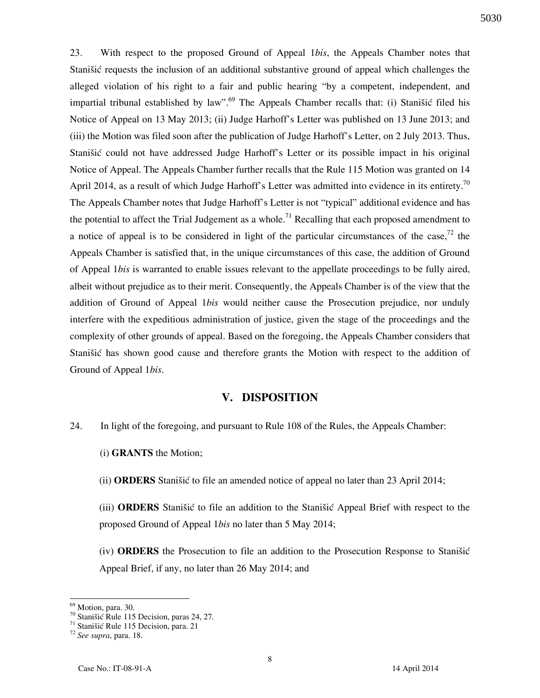23. With respect to the proposed Ground of Appeal 1*bis*, the Appeals Chamber notes that Stanišić requests the inclusion of an additional substantive ground of appeal which challenges the alleged violation of his right to a fair and public hearing "by a competent, independent, and impartial tribunal established by law".<sup>69</sup> The Appeals Chamber recalls that: (i) Stanistic filed his Notice of Appeal on 13 May 2013; (ii) Judge Harhoff's Letter was published on 13 June 2013; and (iii) the Motion was filed soon after the publication of Judge Harhoff's Letter, on 2 July 2013. Thus, Stanišić could not have addressed Judge Harhoff's Letter or its possible impact in his original Notice of Appeal. The Appeals Chamber further recalls that the Rule 115 Motion was granted on 14 April 2014, as a result of which Judge Harhoff's Letter was admitted into evidence in its entirety.<sup>70</sup> The Appeals Chamber notes that Judge Harhoff's Letter is not "typical" additional evidence and has the potential to affect the Trial Judgement as a whole.<sup>71</sup> Recalling that each proposed amendment to a notice of appeal is to be considered in light of the particular circumstances of the case,<sup>72</sup> the Appeals Chamber is satisfied that, in the unique circumstances of this case, the addition of Ground of Appeal 1*bis* is warranted to enable issues relevant to the appellate proceedings to be fully aired, albeit without prejudice as to their merit. Consequently, the Appeals Chamber is of the view that the addition of Ground of Appeal 1*bis* would neither cause the Prosecution prejudice, nor unduly interfere with the expeditious administration of justice, given the stage of the proceedings and the complexity of other grounds of appeal. Based on the foregoing, the Appeals Chamber considers that Stanišić has shown good cause and therefore grants the Motion with respect to the addition of Ground of Appeal 1*bis*.

### **V. DISPOSITION**

24. In light of the foregoing, and pursuant to Rule 108 of the Rules, the Appeals Chamber:

(i) **GRANTS** the Motion;

(ii) **ORDERS** Stanišić to file an amended notice of appeal no later than 23 April 2014;

(iii) **ORDERS** Stanišić to file an addition to the Stanišić Appeal Brief with respect to the proposed Ground of Appeal 1*bis* no later than 5 May 2014;

(iv) **ORDERS** the Prosecution to file an addition to the Prosecution Response to Stanišić Appeal Brief, if any, no later than 26 May 2014; and

 $\overline{a}$ 

<sup>&</sup>lt;sup>69</sup> Motion, para. 30.

 $^{70}$  Stanišić Rule 115 Decision, paras 24, 27.

<sup>&</sup>lt;sup>71</sup> Stanišić Rule 115 Decision, para. 21

<sup>72</sup> *See supra*, para. 18.